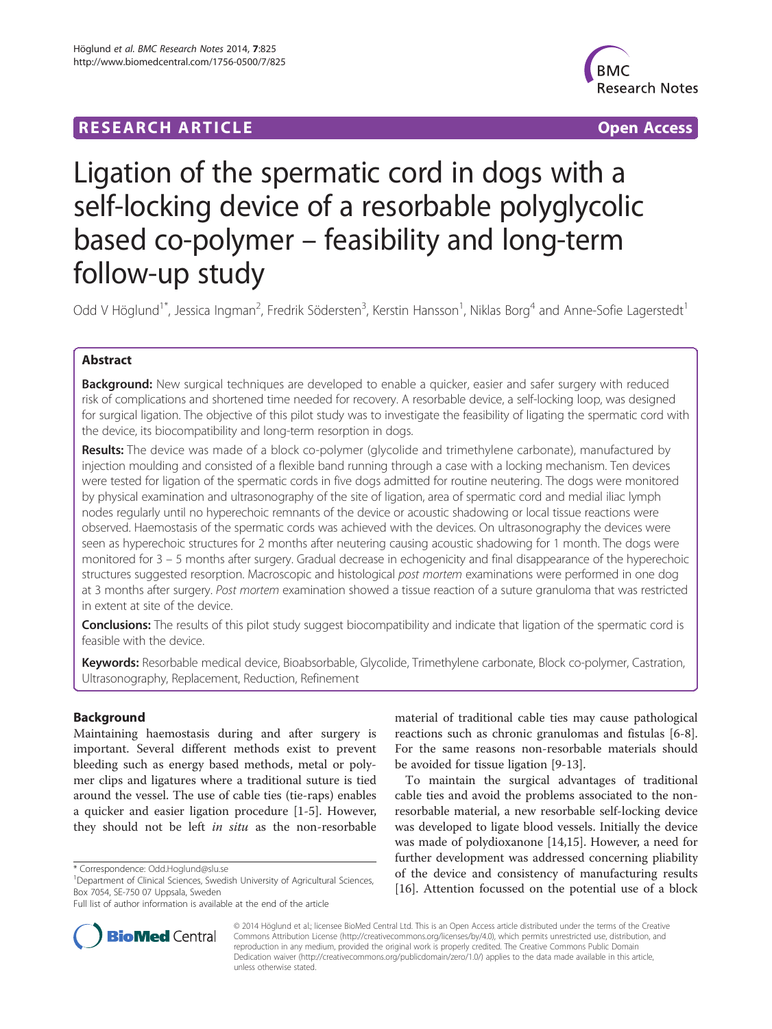## **RESEARCH ARTICLE Example 2014 CONSIDERING A RESEARCH ARTICLE**



# Ligation of the spermatic cord in dogs with a self-locking device of a resorbable polyglycolic based co-polymer – feasibility and long-term follow-up study

Odd V Höglund<sup>1\*</sup>, Jessica Ingman<sup>2</sup>, Fredrik Södersten<sup>3</sup>, Kerstin Hansson<sup>1</sup>, Niklas Borg<sup>4</sup> and Anne-Sofie Lagerstedt<sup>1</sup>

## Abstract

Background: New surgical techniques are developed to enable a quicker, easier and safer surgery with reduced risk of complications and shortened time needed for recovery. A resorbable device, a self-locking loop, was designed for surgical ligation. The objective of this pilot study was to investigate the feasibility of ligating the spermatic cord with the device, its biocompatibility and long-term resorption in dogs.

Results: The device was made of a block co-polymer (glycolide and trimethylene carbonate), manufactured by injection moulding and consisted of a flexible band running through a case with a locking mechanism. Ten devices were tested for ligation of the spermatic cords in five dogs admitted for routine neutering. The dogs were monitored by physical examination and ultrasonography of the site of ligation, area of spermatic cord and medial iliac lymph nodes regularly until no hyperechoic remnants of the device or acoustic shadowing or local tissue reactions were observed. Haemostasis of the spermatic cords was achieved with the devices. On ultrasonography the devices were seen as hyperechoic structures for 2 months after neutering causing acoustic shadowing for 1 month. The dogs were monitored for 3 – 5 months after surgery. Gradual decrease in echogenicity and final disappearance of the hyperechoic structures suggested resorption. Macroscopic and histological post mortem examinations were performed in one dog at 3 months after surgery. Post mortem examination showed a tissue reaction of a suture granuloma that was restricted in extent at site of the device.

Conclusions: The results of this pilot study suggest biocompatibility and indicate that ligation of the spermatic cord is feasible with the device.

Keywords: Resorbable medical device, Bioabsorbable, Glycolide, Trimethylene carbonate, Block co-polymer, Castration, Ultrasonography, Replacement, Reduction, Refinement

### Background

Maintaining haemostasis during and after surgery is important. Several different methods exist to prevent bleeding such as energy based methods, metal or polymer clips and ligatures where a traditional suture is tied around the vessel. The use of cable ties (tie-raps) enables a quicker and easier ligation procedure [[1-5](#page-6-0)]. However, they should not be left in situ as the non-resorbable

material of traditional cable ties may cause pathological reactions such as chronic granulomas and fistulas [[6-8](#page-6-0)]. For the same reasons non-resorbable materials should be avoided for tissue ligation [[9-13\]](#page-6-0).

To maintain the surgical advantages of traditional cable ties and avoid the problems associated to the nonresorbable material, a new resorbable self-locking device was developed to ligate blood vessels. Initially the device was made of polydioxanone [\[14,15](#page-6-0)]. However, a need for further development was addressed concerning pliability of the device and consistency of manufacturing results [[16\]](#page-6-0). Attention focussed on the potential use of a block



© 2014 Höglund et al.; licensee BioMed Central Ltd. This is an Open Access article distributed under the terms of the Creative Commons Attribution License [\(http://creativecommons.org/licenses/by/4.0\)](http://creativecommons.org/licenses/by/4.0), which permits unrestricted use, distribution, and reproduction in any medium, provided the original work is properly credited. The Creative Commons Public Domain Dedication waiver [\(http://creativecommons.org/publicdomain/zero/1.0/](http://creativecommons.org/publicdomain/zero/1.0/)) applies to the data made available in this article, unless otherwise stated.

<sup>\*</sup> Correspondence: [Odd.Hoglund@slu.se](mailto:Odd.Hoglund@slu.se) <sup>1</sup>

<sup>&</sup>lt;sup>1</sup>Department of Clinical Sciences, Swedish University of Agricultural Sciences, Box 7054, SE-750 07 Uppsala, Sweden

Full list of author information is available at the end of the article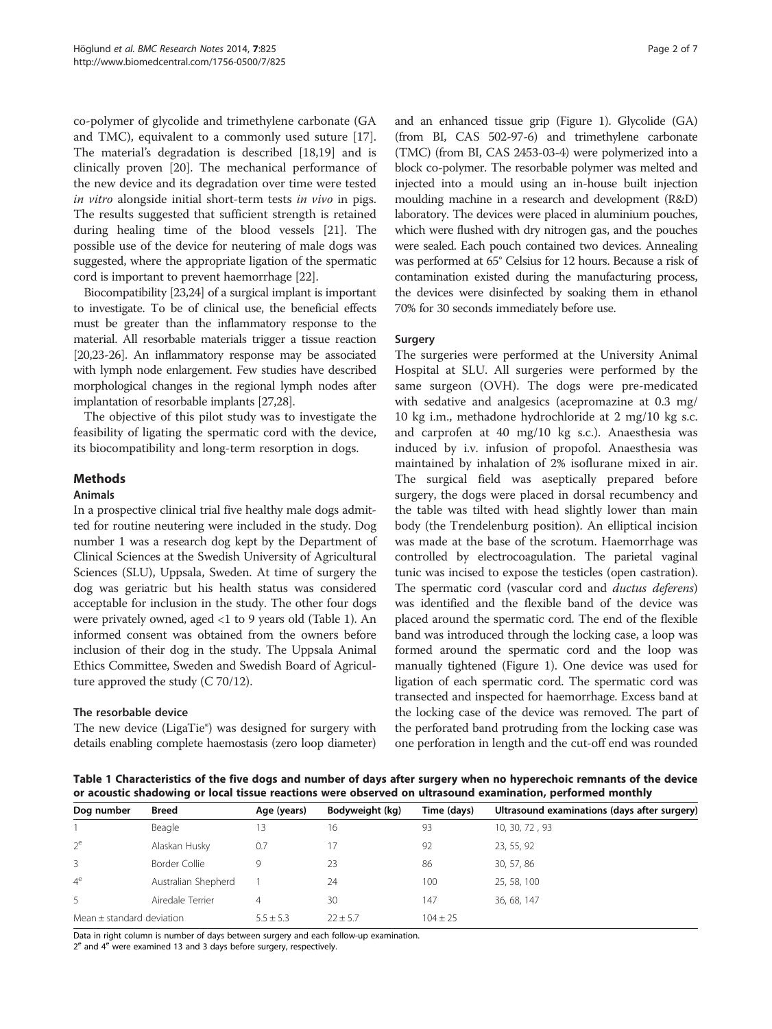<span id="page-1-0"></span>co-polymer of glycolide and trimethylene carbonate (GA and TMC), equivalent to a commonly used suture [\[17](#page-6-0)]. The material's degradation is described [[18,19\]](#page-6-0) and is clinically proven [[20\]](#page-6-0). The mechanical performance of the new device and its degradation over time were tested in vitro alongside initial short-term tests in vivo in pigs. The results suggested that sufficient strength is retained during healing time of the blood vessels [[21](#page-6-0)]. The possible use of the device for neutering of male dogs was suggested, where the appropriate ligation of the spermatic cord is important to prevent haemorrhage [[22\]](#page-6-0).

Biocompatibility [\[23,24\]](#page-6-0) of a surgical implant is important to investigate. To be of clinical use, the beneficial effects must be greater than the inflammatory response to the material. All resorbable materials trigger a tissue reaction [[20,23-26](#page-6-0)]. An inflammatory response may be associated with lymph node enlargement. Few studies have described morphological changes in the regional lymph nodes after implantation of resorbable implants [\[27,28\]](#page-6-0).

The objective of this pilot study was to investigate the feasibility of ligating the spermatic cord with the device, its biocompatibility and long-term resorption in dogs.

#### Methods

#### Animals

In a prospective clinical trial five healthy male dogs admitted for routine neutering were included in the study. Dog number 1 was a research dog kept by the Department of Clinical Sciences at the Swedish University of Agricultural Sciences (SLU), Uppsala, Sweden. At time of surgery the dog was geriatric but his health status was considered acceptable for inclusion in the study. The other four dogs were privately owned, aged <1 to 9 years old (Table 1). An informed consent was obtained from the owners before inclusion of their dog in the study. The Uppsala Animal Ethics Committee, Sweden and Swedish Board of Agriculture approved the study (C 70/12).

#### The resorbable device

The new device (LigaTie®) was designed for surgery with details enabling complete haemostasis (zero loop diameter)

and an enhanced tissue grip (Figure [1\)](#page-2-0). Glycolide (GA) (from BI, CAS 502-97-6) and trimethylene carbonate (TMC) (from BI, CAS 2453-03-4) were polymerized into a block co-polymer. The resorbable polymer was melted and injected into a mould using an in-house built injection moulding machine in a research and development (R&D) laboratory. The devices were placed in aluminium pouches, which were flushed with dry nitrogen gas, and the pouches were sealed. Each pouch contained two devices. Annealing was performed at 65° Celsius for 12 hours. Because a risk of contamination existed during the manufacturing process, the devices were disinfected by soaking them in ethanol 70% for 30 seconds immediately before use.

#### Surgery

The surgeries were performed at the University Animal Hospital at SLU. All surgeries were performed by the same surgeon (OVH). The dogs were pre-medicated with sedative and analgesics (acepromazine at 0.3 mg/ 10 kg i.m., methadone hydrochloride at 2 mg/10 kg s.c. and carprofen at 40 mg/10 kg s.c.). Anaesthesia was induced by i.v. infusion of propofol. Anaesthesia was maintained by inhalation of 2% isoflurane mixed in air. The surgical field was aseptically prepared before surgery, the dogs were placed in dorsal recumbency and the table was tilted with head slightly lower than main body (the Trendelenburg position). An elliptical incision was made at the base of the scrotum. Haemorrhage was controlled by electrocoagulation. The parietal vaginal tunic was incised to expose the testicles (open castration). The spermatic cord (vascular cord and *ductus deferens*) was identified and the flexible band of the device was placed around the spermatic cord. The end of the flexible band was introduced through the locking case, a loop was formed around the spermatic cord and the loop was manually tightened (Figure [1\)](#page-2-0). One device was used for ligation of each spermatic cord. The spermatic cord was transected and inspected for haemorrhage. Excess band at the locking case of the device was removed. The part of the perforated band protruding from the locking case was one perforation in length and the cut-off end was rounded

Table 1 Characteristics of the five dogs and number of days after surgery when no hyperechoic remnants of the device or acoustic shadowing or local tissue reactions were observed on ultrasound examination, performed monthly

| Dog number                    | <b>Breed</b>         | Age (years)   | Bodyweight (kg) | Time (days)  | Ultrasound examinations (days after surgery) |
|-------------------------------|----------------------|---------------|-----------------|--------------|----------------------------------------------|
|                               | Beagle               | 13            | 16              | 93           | 10, 30, 72, 93                               |
| $2^e$                         | Alaskan Husky        | 0.7           |                 | 92           | 23, 55, 92                                   |
| 3                             | <b>Border Collie</b> | 9             | 23              | 86           | 30, 57, 86                                   |
| $4^e$                         | Australian Shepherd  |               | 24              | 100          | 25, 58, 100                                  |
| 5                             | Airedale Terrier     | 4             | 30              | 147          | 36, 68, 147                                  |
| Mean $\pm$ standard deviation |                      | $5.5 \pm 5.3$ | $22 \pm 5.7$    | $104 \pm 25$ |                                              |

Data in right column is number of days between surgery and each follow-up examination.

 $2^e$  and  $4^e$  were examined 13 and 3 days before surgery, respectively.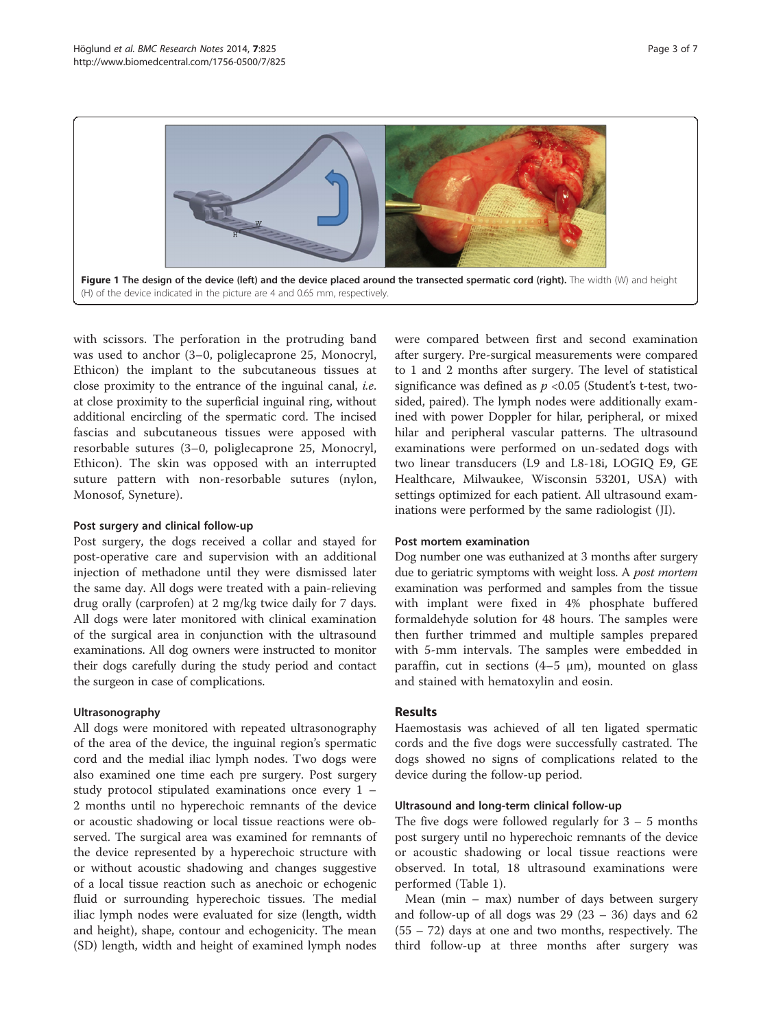<span id="page-2-0"></span>

with scissors. The perforation in the protruding band was used to anchor (3–0, poliglecaprone 25, Monocryl, Ethicon) the implant to the subcutaneous tissues at close proximity to the entrance of the inguinal canal, i.e. at close proximity to the superficial inguinal ring, without additional encircling of the spermatic cord. The incised fascias and subcutaneous tissues were apposed with resorbable sutures (3–0, poliglecaprone 25, Monocryl, Ethicon). The skin was opposed with an interrupted suture pattern with non-resorbable sutures (nylon, Monosof, Syneture).

#### Post surgery and clinical follow-up

Post surgery, the dogs received a collar and stayed for post-operative care and supervision with an additional injection of methadone until they were dismissed later the same day. All dogs were treated with a pain-relieving drug orally (carprofen) at 2 mg/kg twice daily for 7 days. All dogs were later monitored with clinical examination of the surgical area in conjunction with the ultrasound examinations. All dog owners were instructed to monitor their dogs carefully during the study period and contact the surgeon in case of complications.

#### Ultrasonography

All dogs were monitored with repeated ultrasonography of the area of the device, the inguinal region's spermatic cord and the medial iliac lymph nodes. Two dogs were also examined one time each pre surgery. Post surgery study protocol stipulated examinations once every 1 – 2 months until no hyperechoic remnants of the device or acoustic shadowing or local tissue reactions were observed. The surgical area was examined for remnants of the device represented by a hyperechoic structure with or without acoustic shadowing and changes suggestive of a local tissue reaction such as anechoic or echogenic fluid or surrounding hyperechoic tissues. The medial iliac lymph nodes were evaluated for size (length, width and height), shape, contour and echogenicity. The mean (SD) length, width and height of examined lymph nodes

were compared between first and second examination after surgery. Pre-surgical measurements were compared to 1 and 2 months after surgery. The level of statistical significance was defined as  $p < 0.05$  (Student's t-test, twosided, paired). The lymph nodes were additionally examined with power Doppler for hilar, peripheral, or mixed hilar and peripheral vascular patterns. The ultrasound examinations were performed on un-sedated dogs with two linear transducers (L9 and L8-18i, LOGIQ E9, GE Healthcare, Milwaukee, Wisconsin 53201, USA) with settings optimized for each patient. All ultrasound examinations were performed by the same radiologist (JI).

#### Post mortem examination

Dog number one was euthanized at 3 months after surgery due to geriatric symptoms with weight loss. A *post mortem* examination was performed and samples from the tissue with implant were fixed in 4% phosphate buffered formaldehyde solution for 48 hours. The samples were then further trimmed and multiple samples prepared with 5-mm intervals. The samples were embedded in paraffin, cut in sections  $(4-5 \mu m)$ , mounted on glass and stained with hematoxylin and eosin.

#### Results

Haemostasis was achieved of all ten ligated spermatic cords and the five dogs were successfully castrated. The dogs showed no signs of complications related to the device during the follow-up period.

#### Ultrasound and long-term clinical follow-up

The five dogs were followed regularly for  $3 - 5$  months post surgery until no hyperechoic remnants of the device or acoustic shadowing or local tissue reactions were observed. In total, 18 ultrasound examinations were performed (Table [1](#page-1-0)).

Mean (min – max) number of days between surgery and follow-up of all dogs was  $29(23 - 36)$  days and 62 (55 – 72) days at one and two months, respectively. The third follow-up at three months after surgery was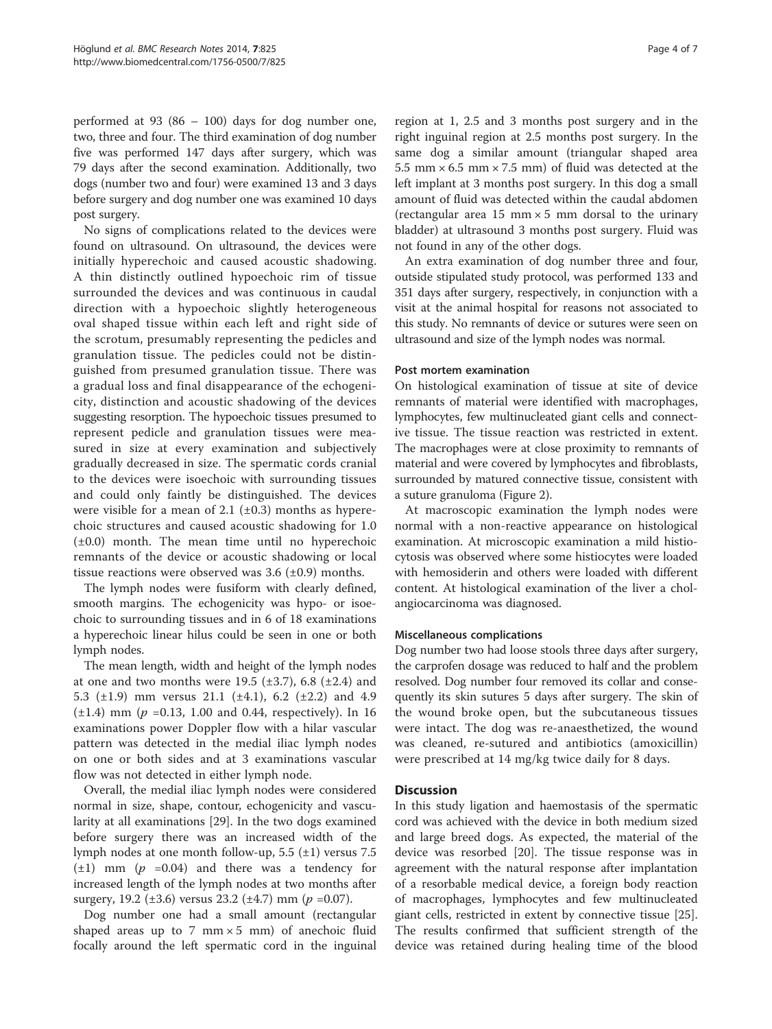performed at 93 (86 – 100) days for dog number one, two, three and four. The third examination of dog number five was performed 147 days after surgery, which was 79 days after the second examination. Additionally, two dogs (number two and four) were examined 13 and 3 days before surgery and dog number one was examined 10 days post surgery.

No signs of complications related to the devices were found on ultrasound. On ultrasound, the devices were initially hyperechoic and caused acoustic shadowing. A thin distinctly outlined hypoechoic rim of tissue surrounded the devices and was continuous in caudal direction with a hypoechoic slightly heterogeneous oval shaped tissue within each left and right side of the scrotum, presumably representing the pedicles and granulation tissue. The pedicles could not be distinguished from presumed granulation tissue. There was a gradual loss and final disappearance of the echogenicity, distinction and acoustic shadowing of the devices suggesting resorption. The hypoechoic tissues presumed to represent pedicle and granulation tissues were measured in size at every examination and subjectively gradually decreased in size. The spermatic cords cranial to the devices were isoechoic with surrounding tissues and could only faintly be distinguished. The devices were visible for a mean of 2.1  $(\pm 0.3)$  months as hyperechoic structures and caused acoustic shadowing for 1.0 (±0.0) month. The mean time until no hyperechoic remnants of the device or acoustic shadowing or local tissue reactions were observed was  $3.6$  ( $\pm$ 0.9) months.

The lymph nodes were fusiform with clearly defined, smooth margins. The echogenicity was hypo- or isoechoic to surrounding tissues and in 6 of 18 examinations a hyperechoic linear hilus could be seen in one or both lymph nodes.

The mean length, width and height of the lymph nodes at one and two months were 19.5  $(\pm 3.7)$ , 6.8  $(\pm 2.4)$  and 5.3 (±1.9) mm versus 21.1 (±4.1), 6.2 (±2.2) and 4.9  $(\pm 1.4)$  mm ( $p = 0.13$ , 1.00 and 0.44, respectively). In 16 examinations power Doppler flow with a hilar vascular pattern was detected in the medial iliac lymph nodes on one or both sides and at 3 examinations vascular flow was not detected in either lymph node.

Overall, the medial iliac lymph nodes were considered normal in size, shape, contour, echogenicity and vascularity at all examinations [[29](#page-6-0)]. In the two dogs examined before surgery there was an increased width of the lymph nodes at one month follow-up, 5.5 (±1) versus 7.5  $(\pm 1)$  mm  $(p = 0.04)$  and there was a tendency for increased length of the lymph nodes at two months after surgery, 19.2 ( $\pm 3.6$ ) versus 23.2 ( $\pm 4.7$ ) mm ( $p = 0.07$ ).

Dog number one had a small amount (rectangular shaped areas up to 7 mm  $\times$  5 mm) of anechoic fluid focally around the left spermatic cord in the inguinal

region at 1, 2.5 and 3 months post surgery and in the right inguinal region at 2.5 months post surgery. In the same dog a similar amount (triangular shaped area 5.5 mm  $\times$  6.5 mm  $\times$  7.5 mm) of fluid was detected at the left implant at 3 months post surgery. In this dog a small amount of fluid was detected within the caudal abdomen (rectangular area 15 mm  $\times$  5 mm dorsal to the urinary bladder) at ultrasound 3 months post surgery. Fluid was not found in any of the other dogs.

An extra examination of dog number three and four, outside stipulated study protocol, was performed 133 and 351 days after surgery, respectively, in conjunction with a visit at the animal hospital for reasons not associated to this study. No remnants of device or sutures were seen on ultrasound and size of the lymph nodes was normal.

#### Post mortem examination

On histological examination of tissue at site of device remnants of material were identified with macrophages, lymphocytes, few multinucleated giant cells and connective tissue. The tissue reaction was restricted in extent. The macrophages were at close proximity to remnants of material and were covered by lymphocytes and fibroblasts, surrounded by matured connective tissue, consistent with a suture granuloma (Figure [2](#page-4-0)).

At macroscopic examination the lymph nodes were normal with a non-reactive appearance on histological examination. At microscopic examination a mild histiocytosis was observed where some histiocytes were loaded with hemosiderin and others were loaded with different content. At histological examination of the liver a cholangiocarcinoma was diagnosed.

#### Miscellaneous complications

Dog number two had loose stools three days after surgery, the carprofen dosage was reduced to half and the problem resolved. Dog number four removed its collar and consequently its skin sutures 5 days after surgery. The skin of the wound broke open, but the subcutaneous tissues were intact. The dog was re-anaesthetized, the wound was cleaned, re-sutured and antibiotics (amoxicillin) were prescribed at 14 mg/kg twice daily for 8 days.

#### **Discussion**

In this study ligation and haemostasis of the spermatic cord was achieved with the device in both medium sized and large breed dogs. As expected, the material of the device was resorbed [[20](#page-6-0)]. The tissue response was in agreement with the natural response after implantation of a resorbable medical device, a foreign body reaction of macrophages, lymphocytes and few multinucleated giant cells, restricted in extent by connective tissue [\[25](#page-6-0)]. The results confirmed that sufficient strength of the device was retained during healing time of the blood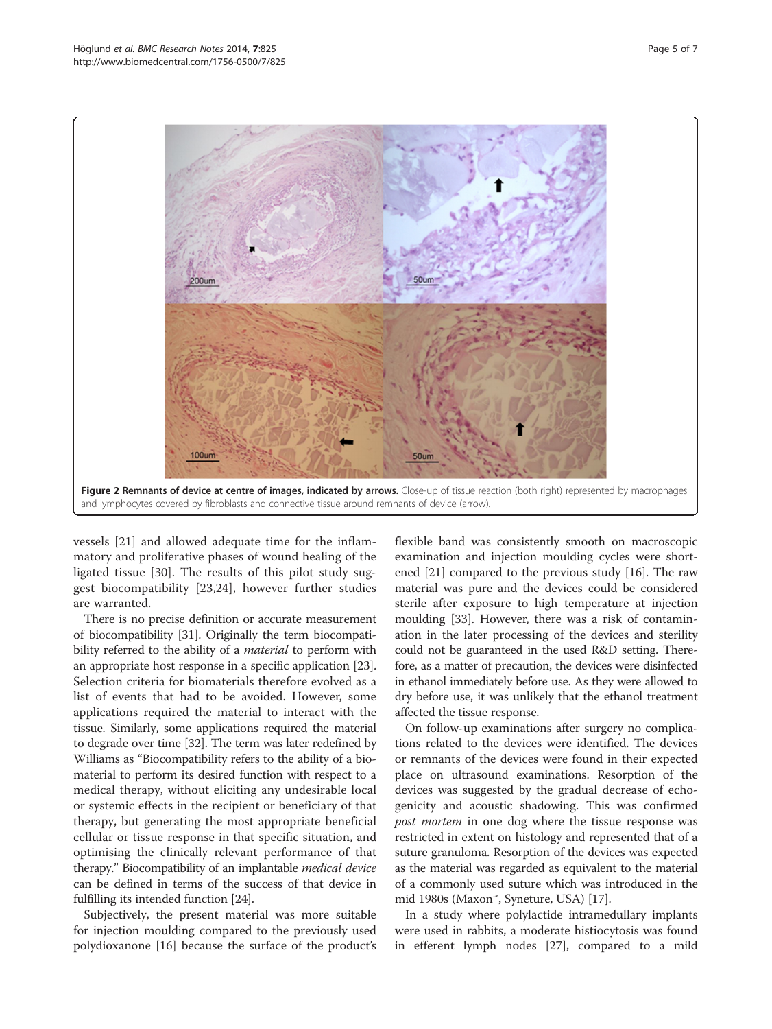<span id="page-4-0"></span>

vessels [[21\]](#page-6-0) and allowed adequate time for the inflammatory and proliferative phases of wound healing of the ligated tissue [\[30](#page-6-0)]. The results of this pilot study suggest biocompatibility [\[23](#page-6-0),[24\]](#page-6-0), however further studies are warranted.

There is no precise definition or accurate measurement of biocompatibility [\[31](#page-6-0)]. Originally the term biocompatibility referred to the ability of a *material* to perform with an appropriate host response in a specific application [[23](#page-6-0)]. Selection criteria for biomaterials therefore evolved as a list of events that had to be avoided. However, some applications required the material to interact with the tissue. Similarly, some applications required the material to degrade over time [\[32\]](#page-6-0). The term was later redefined by Williams as "Biocompatibility refers to the ability of a biomaterial to perform its desired function with respect to a medical therapy, without eliciting any undesirable local or systemic effects in the recipient or beneficiary of that therapy, but generating the most appropriate beneficial cellular or tissue response in that specific situation, and optimising the clinically relevant performance of that therapy." Biocompatibility of an implantable medical device can be defined in terms of the success of that device in fulfilling its intended function [\[24](#page-6-0)].

Subjectively, the present material was more suitable for injection moulding compared to the previously used polydioxanone [\[16](#page-6-0)] because the surface of the product's

flexible band was consistently smooth on macroscopic examination and injection moulding cycles were shortened [[21\]](#page-6-0) compared to the previous study [[16](#page-6-0)]. The raw material was pure and the devices could be considered sterile after exposure to high temperature at injection moulding [\[33\]](#page-6-0). However, there was a risk of contamination in the later processing of the devices and sterility could not be guaranteed in the used R&D setting. Therefore, as a matter of precaution, the devices were disinfected in ethanol immediately before use. As they were allowed to dry before use, it was unlikely that the ethanol treatment affected the tissue response.

On follow-up examinations after surgery no complications related to the devices were identified. The devices or remnants of the devices were found in their expected place on ultrasound examinations. Resorption of the devices was suggested by the gradual decrease of echogenicity and acoustic shadowing. This was confirmed post mortem in one dog where the tissue response was restricted in extent on histology and represented that of a suture granuloma. Resorption of the devices was expected as the material was regarded as equivalent to the material of a commonly used suture which was introduced in the mid 1980s (Maxon™, Syneture, USA) [[17\]](#page-6-0).

In a study where polylactide intramedullary implants were used in rabbits, a moderate histiocytosis was found in efferent lymph nodes [\[27\]](#page-6-0), compared to a mild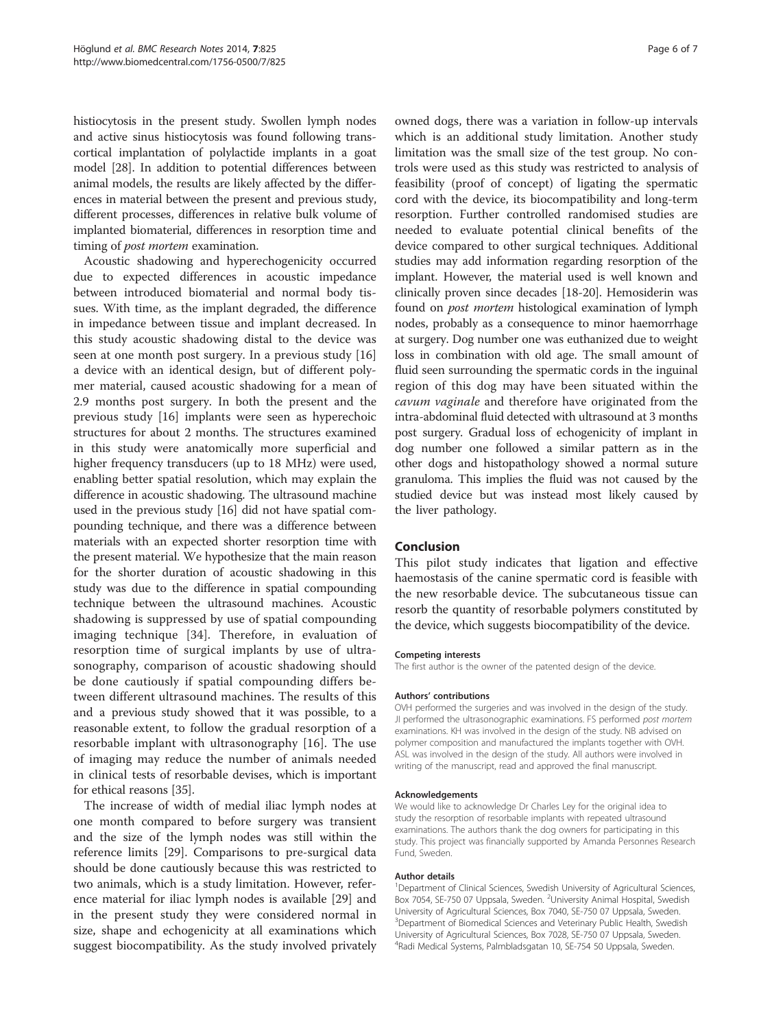histiocytosis in the present study. Swollen lymph nodes and active sinus histiocytosis was found following transcortical implantation of polylactide implants in a goat model [\[28\]](#page-6-0). In addition to potential differences between animal models, the results are likely affected by the differences in material between the present and previous study, different processes, differences in relative bulk volume of implanted biomaterial, differences in resorption time and timing of *post mortem* examination.

Acoustic shadowing and hyperechogenicity occurred due to expected differences in acoustic impedance between introduced biomaterial and normal body tissues. With time, as the implant degraded, the difference in impedance between tissue and implant decreased. In this study acoustic shadowing distal to the device was seen at one month post surgery. In a previous study [[16](#page-6-0)] a device with an identical design, but of different polymer material, caused acoustic shadowing for a mean of 2.9 months post surgery. In both the present and the previous study [\[16](#page-6-0)] implants were seen as hyperechoic structures for about 2 months. The structures examined in this study were anatomically more superficial and higher frequency transducers (up to 18 MHz) were used, enabling better spatial resolution, which may explain the difference in acoustic shadowing. The ultrasound machine used in the previous study [\[16](#page-6-0)] did not have spatial compounding technique, and there was a difference between materials with an expected shorter resorption time with the present material. We hypothesize that the main reason for the shorter duration of acoustic shadowing in this study was due to the difference in spatial compounding technique between the ultrasound machines. Acoustic shadowing is suppressed by use of spatial compounding imaging technique [[34](#page-6-0)]. Therefore, in evaluation of resorption time of surgical implants by use of ultrasonography, comparison of acoustic shadowing should be done cautiously if spatial compounding differs between different ultrasound machines. The results of this and a previous study showed that it was possible, to a reasonable extent, to follow the gradual resorption of a resorbable implant with ultrasonography [[16](#page-6-0)]. The use of imaging may reduce the number of animals needed in clinical tests of resorbable devises, which is important for ethical reasons [\[35\]](#page-6-0).

The increase of width of medial iliac lymph nodes at one month compared to before surgery was transient and the size of the lymph nodes was still within the reference limits [[29](#page-6-0)]. Comparisons to pre-surgical data should be done cautiously because this was restricted to two animals, which is a study limitation. However, reference material for iliac lymph nodes is available [[29\]](#page-6-0) and in the present study they were considered normal in size, shape and echogenicity at all examinations which suggest biocompatibility. As the study involved privately

owned dogs, there was a variation in follow-up intervals which is an additional study limitation. Another study limitation was the small size of the test group. No controls were used as this study was restricted to analysis of feasibility (proof of concept) of ligating the spermatic cord with the device, its biocompatibility and long-term resorption. Further controlled randomised studies are needed to evaluate potential clinical benefits of the device compared to other surgical techniques. Additional studies may add information regarding resorption of the implant. However, the material used is well known and clinically proven since decades [[18](#page-6-0)-[20](#page-6-0)]. Hemosiderin was found on *post mortem* histological examination of lymph nodes, probably as a consequence to minor haemorrhage at surgery. Dog number one was euthanized due to weight loss in combination with old age. The small amount of fluid seen surrounding the spermatic cords in the inguinal region of this dog may have been situated within the cavum vaginale and therefore have originated from the intra-abdominal fluid detected with ultrasound at 3 months post surgery. Gradual loss of echogenicity of implant in dog number one followed a similar pattern as in the other dogs and histopathology showed a normal suture granuloma. This implies the fluid was not caused by the studied device but was instead most likely caused by the liver pathology.

#### Conclusion

This pilot study indicates that ligation and effective haemostasis of the canine spermatic cord is feasible with the new resorbable device. The subcutaneous tissue can resorb the quantity of resorbable polymers constituted by the device, which suggests biocompatibility of the device.

#### Competing interests

The first author is the owner of the patented design of the device.

#### Authors' contributions

OVH performed the surgeries and was involved in the design of the study. JI performed the ultrasonographic examinations. FS performed post mortem examinations. KH was involved in the design of the study. NB advised on polymer composition and manufactured the implants together with OVH. ASL was involved in the design of the study. All authors were involved in writing of the manuscript, read and approved the final manuscript.

#### Acknowledgements

We would like to acknowledge Dr Charles Ley for the original idea to study the resorption of resorbable implants with repeated ultrasound examinations. The authors thank the dog owners for participating in this study. This project was financially supported by Amanda Personnes Research Fund, Sweden.

#### Author details

<sup>1</sup>Department of Clinical Sciences, Swedish University of Agricultural Sciences, Box 7054, SE-750 07 Uppsala, Sweden. <sup>2</sup>University Animal Hospital, Swedish University of Agricultural Sciences, Box 7040, SE-750 07 Uppsala, Sweden. <sup>3</sup>Department of Biomedical Sciences and Veterinary Public Health, Swedish University of Agricultural Sciences, Box 7028, SE-750 07 Uppsala, Sweden. 4 Radi Medical Systems, Palmbladsgatan 10, SE-754 50 Uppsala, Sweden.